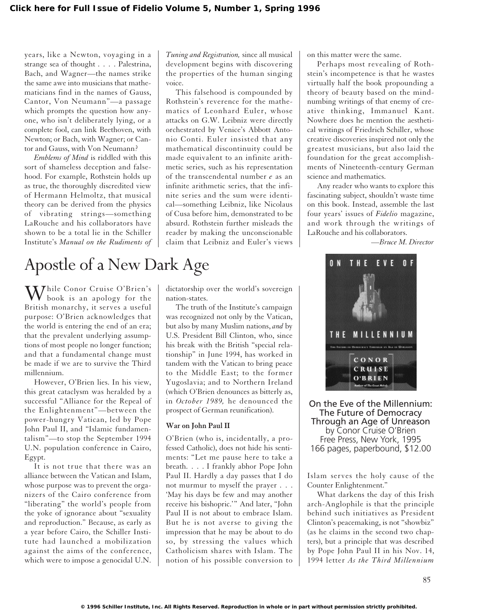years, like a Newton, voyaging in a strange sea of thought . . . . Palestrina, Bach, and Wagner—the names strike the same awe into musicians that mathematicians find in the names of Gauss, Cantor, Von Neumann"—a passage which prompts the question how anyone, who isn't deliberately lying, or a complete fool, can link Beethoven, with Newton; or Bach, with Wagner; or Cantor and Gauss, with Von Neumann?

*Emblems of Mind* is riddled with this sort of shameless deception and falsehood. For example, Rothstein holds up as true, the thoroughly discredited view of Hermann Helmoltz, that musical theory can be derived from the physics of vibrating strings—something LaRouche and his collaborators have shown to be a total lie in the Schiller Institute's *Manual on the Rudiments of* *Tuning and Registration,* since all musical development begins with discovering the properties of the human singing voice.

This falsehood is compounded by Rothstein's reverence for the mathematics of Leonhard Euler, whose attacks on G.W. Leibniz were directly orchestrated by Venice's Abbott Antonio Conti. Euler insisted that any mathematical discontinuity could be made equivalent to an infinite arithmetic series, such as his representation of the transcendental number *e* as an infinite arithmetic series, that the infinite series and the sum were identical—something Leibniz, like Nicolaus of Cusa before him, demonstrated to be absurd. Rothstein further misleads the reader by making the unconscionable claim that Leibniz and Euler's views on this matter were the same.

Perhaps most revealing of Rothstein's incompetence is that he wastes virtually half the book propounding a theory of beauty based on the mindnumbing writings of that enemy of creative thinking, Immanuel Kant. Nowhere does he mention the aesthetical writings of Friedrich Schiller, whose creative discoveries inspired not only the greatest musicians, but also laid the foundation for the great accomplishments of Nineteenth-century German science and mathematics.

Any reader who wants to explore this fascinating subject, shouldn't waste time on this book. Instead, assemble the last four years' issues of *Fidelio* magazine, and work through the writings of LaRouche and his collaborators.

*—Bruce M. Director*

## Apostle of a New Dark Age

While Conor Cruise O'Brien's<br>book is an apology for the British monarchy, it serves a useful purpose: O'Brien acknowledges that the world is entering the end of an era; that the prevalent underlying assumptions of most people no longer function; and that a fundamental change must be made if we are to survive the Third millennium.

However, O'Brien lies. In his view, this great cataclysm was heralded by a successful "Alliance for the Repeal of the Enlightenment"—between the power-hungry Vatican, led by Pope John Paul II, and "Islamic fundamentalism"—to stop the September 1994 U.N. population conference in Cairo, Egypt.

It is not true that there was an alliance between the Vatican and Islam, whose purpose was to prevent the organizers of the Cairo conference from "liberating" the world's people from the yoke of ignorance about "sexuality and reproduction." Because, as early as a year before Cairo, the Schiller Institute had launched a mobilization against the aims of the conference, which were to impose a genocidal U.N. dictatorship over the world's sovereign nation-states.

The truth of the Institute's campaign was recognized not only by the Vatican, but also by many Muslim nations, *and* by U.S. President Bill Clinton, who, since his break with the British "special relationship" in June 1994, has worked in tandem with the Vatican to bring peace to the Middle East; to the former Yugoslavia; and to Northern Ireland (which O'Brien denounces as bitterly as, in *October 1989,* he denounced the prospect of German reunification).

## **War on John Paul II**

O'Brien (who is, incidentally, a professed Catholic), does not hide his sentiments: "Let me pause here to take a breath. . . . I frankly abhor Pope John Paul II. Hardly a day passes that I do not murmur to myself the prayer . . . 'May his days be few and may another receive his bishopric.'" And later, "John Paul II is not about to embrace Islam. But he is not averse to giving the impression that he may be about to do so, by stressing the values which Catholicism shares with Islam. The notion of his possible conversion to



On the Eve of the Millennium: The Future of Democracy Through an Age of Unreason by Conor Cruise O'Brien Free Press, New York, 1995 166 pages, paperbound, \$12.00

Islam serves the holy cause of the Counter Enlightenment."

What darkens the day of this Irish arch-Anglophile is that the principle behind such initiatives as President Clinton's peacemaking, is not "showbiz" (as he claims in the second two chapters), but a principle that was described by Pope John Paul II in his Nov. 14, 1994 letter *As the Third Millennium*